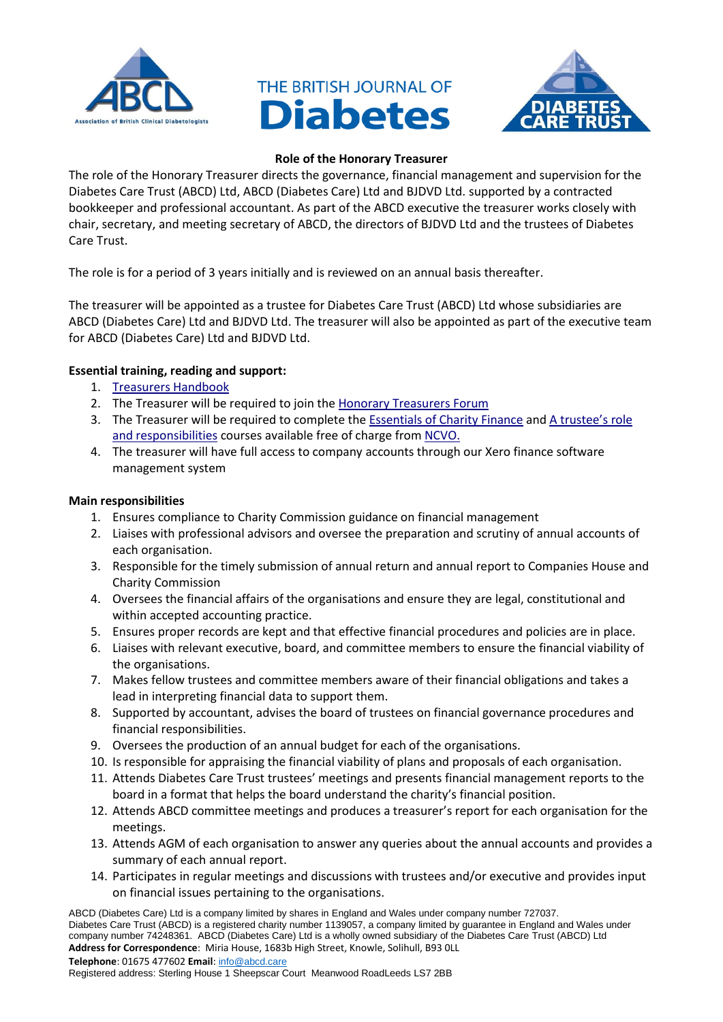





## **Role of the Honorary Treasurer**

The role of the Honorary Treasurer directs the governance, financial management and supervision for the Diabetes Care Trust (ABCD) Ltd, ABCD (Diabetes Care) Ltd and BJDVD Ltd. supported by a contracted bookkeeper and professional accountant. As part of the ABCD executive the treasurer works closely with chair, secretary, and meeting secretary of ABCD, the directors of BJDVD Ltd and the trustees of Diabetes Care Trust.

The role is for a period of 3 years initially and is reviewed on an annual basis thereafter.

The treasurer will be appointed as a trustee for Diabetes Care Trust (ABCD) Ltd whose subsidiaries are ABCD (Diabetes Care) Ltd and BJDVD Ltd. The treasurer will also be appointed as part of the executive team for ABCD (Diabetes Care) Ltd and BJDVD Ltd.

## **Essential training, reading and support:**

- 1. [Treasurers Handbook](file://///172.16.0.88/Data/Clients/ABCD/Corporate_and_Governance/The%20Honorary%20Treasurer’s%20Handbook%20(November%202017).pdf)
- 2. The Treasurer will be required to join the Honorary [Treasurers Forum](https://www.honorarytreasurers.org.uk/)
- 3. The Treasurer will be required to complete the [Essentials of Charity Finance](https://knowhow.ncvo.org.uk/studyzone/the-essentials-of-charity-finance/) and [A trustee's role](https://knowhow.ncvo.org.uk/studyzone/a-trustees-role-and-responsibilities)  [and responsibilities](https://knowhow.ncvo.org.uk/studyzone/a-trustees-role-and-responsibilities) courses available free of charge fro[m NCVO.](https://www.ncvo.org.uk/)
- 4. The treasurer will have full access to company accounts through our Xero finance software management system

## **Main responsibilities**

- 1. Ensures compliance to Charity Commission guidance on financial management
- 2. Liaises with professional advisors and oversee the preparation and scrutiny of annual accounts of each organisation.
- 3. Responsible for the timely submission of annual return and annual report to Companies House and Charity Commission
- 4. Oversees the financial affairs of the organisations and ensure they are legal, constitutional and within accepted accounting practice.
- 5. Ensures proper records are kept and that effective financial procedures and policies are in place.
- 6. Liaises with relevant executive, board, and committee members to ensure the financial viability of the organisations.
- 7. Makes fellow trustees and committee members aware of their financial obligations and takes a lead in interpreting financial data to support them.
- 8. Supported by accountant, advises the board of trustees on financial governance procedures and financial responsibilities.
- 9. Oversees the production of an annual budget for each of the organisations.
- 10. Is responsible for appraising the financial viability of plans and proposals of each organisation.
- 11. Attends Diabetes Care Trust trustees' meetings and presents financial management reports to the board in a format that helps the board understand the charity's financial position.
- 12. Attends ABCD committee meetings and produces a treasurer's report for each organisation for the meetings.
- 13. Attends AGM of each organisation to answer any queries about the annual accounts and provides a summary of each annual report.
- 14. Participates in regular meetings and discussions with trustees and/or executive and provides input on financial issues pertaining to the organisations.

ABCD (Diabetes Care) Ltd is a company limited by shares in England and Wales under company number 727037. Diabetes Care Trust (ABCD) is a registered charity number 1139057, a company limited by guarantee in England and Wales under company number 74248361. ABCD (Diabetes Care) Ltd is a wholly owned subsidiary of the Diabetes Care Trust (ABCD) Ltd **Address for Correspondence**: Miria House, 1683b High Street, Knowle, Solihull, B93 0LL **Telephone**: 01675 477602 **Email**: [info@abcd.care](mailto:info@abcd.care)